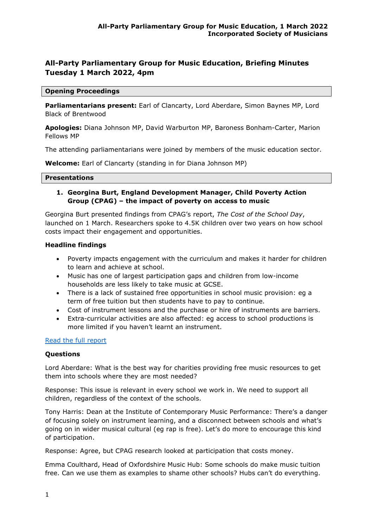# **All-Party Parliamentary Group for Music Education, Briefing Minutes Tuesday 1 March 2022, 4pm**

#### **Opening Proceedings**

**Parliamentarians present:** Earl of Clancarty, Lord Aberdare, Simon Baynes MP, Lord Black of Brentwood

**Apologies:** Diana Johnson MP, David Warburton MP, Baroness Bonham-Carter, Marion Fellows MP

The attending parliamentarians were joined by members of the music education sector.

**Welcome:** Earl of Clancarty (standing in for Diana Johnson MP)

#### **Presentations**

### **1. Georgina Burt, England Development Manager, Child Poverty Action Group (CPAG) – the impact of poverty on access to music**

Georgina Burt presented findings from CPAG's report, *The Cost of the School Day*, launched on 1 March. Researchers spoke to 4.5K children over two years on how school costs impact their engagement and opportunities.

### **Headline findings**

- Poverty impacts engagement with the curriculum and makes it harder for children to learn and achieve at school.
- Music has one of largest participation gaps and children from low-income households are less likely to take music at GCSE.
- There is a lack of sustained free opportunities in school music provision: eg a term of free tuition but then students have to pay to continue.
- Cost of instrument lessons and the purchase or hire of instruments are barriers.
- Extra-curricular activities are also affected: eg access to school productions is more limited if you haven't learnt an instrument.

### [Read the full report](https://cpag.org.uk/policy-and-campaigns/briefing/cost-school-day-england-pupils-perspectives)

### **Questions**

Lord Aberdare: What is the best way for charities providing free music resources to get them into schools where they are most needed?

Response: This issue is relevant in every school we work in. We need to support all children, regardless of the context of the schools.

Tony Harris: Dean at the Institute of Contemporary Music Performance: There's a danger of focusing solely on instrument learning, and a disconnect between schools and what's going on in wider musical cultural (eg rap is free). Let's do more to encourage this kind of participation.

Response: Agree, but CPAG research looked at participation that costs money.

Emma Coulthard, Head of Oxfordshire Music Hub: Some schools do make music tuition free. Can we use them as examples to shame other schools? Hubs can't do everything.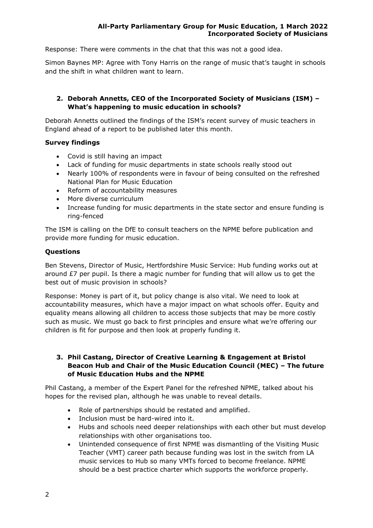Response: There were comments in the chat that this was not a good idea.

Simon Baynes MP: Agree with Tony Harris on the range of music that's taught in schools and the shift in what children want to learn.

# **2. Deborah Annetts, CEO of the Incorporated Society of Musicians (ISM) – What's happening to music education in schools?**

Deborah Annetts outlined the findings of the ISM's recent survey of music teachers in England ahead of a report to be published later this month.

### **Survey findings**

- Covid is still having an impact
- Lack of funding for music departments in state schools really stood out
- Nearly 100% of respondents were in favour of being consulted on the refreshed National Plan for Music Education
- Reform of accountability measures
- More diverse curriculum
- Increase funding for music departments in the state sector and ensure funding is ring-fenced

The ISM is calling on the DfE to consult teachers on the NPME before publication and provide more funding for music education.

### **Questions**

Ben Stevens, Director of Music, Hertfordshire Music Service: Hub funding works out at around  $E7$  per pupil. Is there a magic number for funding that will allow us to get the best out of music provision in schools?

Response: Money is part of it, but policy change is also vital. We need to look at accountability measures, which have a major impact on what schools offer. Equity and equality means allowing all children to access those subjects that may be more costly such as music. We must go back to first principles and ensure what we're offering our children is fit for purpose and then look at properly funding it.

## **3. Phil Castang, Director of Creative Learning & Engagement at Bristol Beacon Hub and Chair of the Music Education Council (MEC) – The future of Music Education Hubs and the NPME**

Phil Castang, a member of the Expert Panel for the refreshed NPME, talked about his hopes for the revised plan, although he was unable to reveal details.

- Role of partnerships should be restated and amplified.
- Inclusion must be hard-wired into it.
- Hubs and schools need deeper relationships with each other but must develop relationships with other organisations too.
- Unintended consequence of first NPME was dismantling of the Visiting Music Teacher (VMT) career path because funding was lost in the switch from LA music services to Hub so many VMTs forced to become freelance. NPME should be a best practice charter which supports the workforce properly.